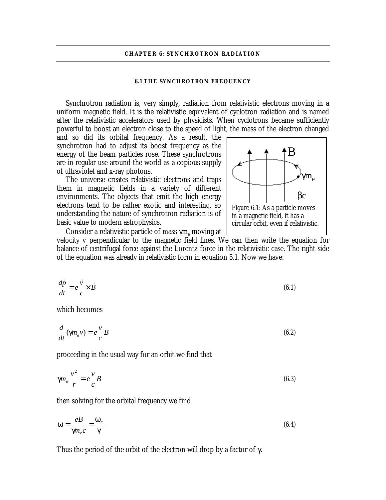### **CHAPTER 6: SYNCHROTRON RADIATION**

#### **6.1 THE SYNCHROTRON FREQUENCY**

Synchrotron radiation is, very simply, radiation from relativistic electrons moving in a uniform magnetic field. It is the relativistic equivalent of cyclotron radiation and is named after the relativistic accelerators used by physicists. When cyclotrons became sufficiently powerful to boost an electron close to the speed of light, the mass of the electron changed

and so did its orbital frequency. As a result, the synchrotron had to adjust its boost frequency as the energy of the beam particles rose. These synchrotrons are in regular use around the world as a copious supply of ultraviolet and x-ray photons.

The universe creates relativistic electrons and traps them in magnetic fields in a variety of different environments. The objects that emit the high energy electrons tend to be rather exotic and interesting, so understanding the nature of synchrotron radiation is of basic value to modern astrophysics.



Consider a relativistic particle of mass  $\gamma \mathrm{m_{e}}$  moving at

velocity v perpendicular to the magnetic field lines. We can then write the equation for balance of centrifugal force against the Lorentz force in the relativisitic case. The right side of the equation was already in relativistic form in equation 5.1. Now we have:

$$
\frac{d\vec{p}}{dt} = e \frac{\vec{v}}{c} \times \vec{B}
$$
\n(6.1)

which becomes

$$
\frac{d}{dt}(\mathbf{g}m_e v) = e \frac{v}{c} B \tag{6.2}
$$

proceeding in the usual way for an orbit we find that

$$
\mathbf{g}m_e \frac{v^2}{r} = e \frac{v}{c}B\tag{6.3}
$$

then solving for the orbital frequency we find

$$
w = \frac{e}{g} = \frac{w_c}{g}
$$
 (6.4)

Thus the period of the orbit of the electron will drop by a factor of  $\gamma$ .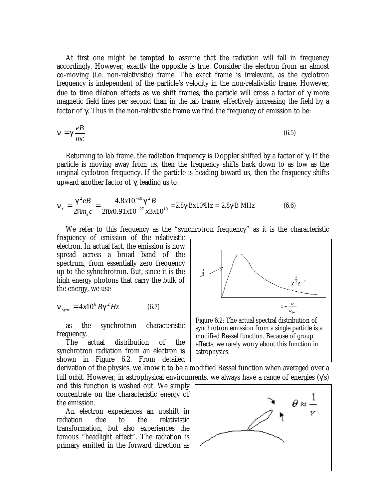At first one might be tempted to assume that the radiation will fall in frequency accordingly. However, exactly the opposite is true. Consider the electron from an almost co-moving (i.e. non-relativistic) frame. The exact frame is irrelevant, as the cyclotron frequency is independent of the particle's velocity in the non-relativistic frame. However, due to time dilation effects as we shift frames, the particle will cross a factor of γ more magnetic field lines per second than in the lab frame, effectively increasing the field by a factor of γ. Thus in the non-relativistic frame we find the frequency of emission to be:

$$
n = g \frac{e}{mc} \tag{6.5}
$$

Returning to lab frame, the radiation frequency is Doppler shifted by a factor of  $\gamma$ . If the particle is moving away from us, then the frequency shifts back down to as low as the original cyclotron frequency. If the particle is heading toward us, then the frequency shifts upward another factor of γ, leading us to:

$$
\mathbf{n}_{s} = \frac{\mathbf{g}^{2}eB}{2\mathbf{p}m_{e}c} = \frac{4.8 \times 10^{-10} \mathbf{g}^{2}B}{2\mathbf{p} \times 0.91 \times 10^{-27} \times 3 \times 10^{10}} = 2.8 \gamma^{2} B \times 10^{6} Hz = 2.8 \gamma^{2} B MHz
$$
 (6.6)

We refer to this frequency as the "synchrotron frequency" as it is the characteristic

frequency of emission of the relativistic electron. In actual fact, the emission is now spread across a broad band of the spectrum, from essentially zero frequency up to the syhnchrotron. But, since it is the high energy photons that carry the bulk of the energy, we use

$$
\boldsymbol{n}_{sync} = 4x10^6 B\boldsymbol{g}^2 Hz \tag{6.7}
$$

as the synchrotron characteristic frequency.

The actual distribution of the synchrotron radiation from an electron is shown in Figure 6.2. From detailed

derivation of the physics, we know it to be a modified Bessel function when averaged over a full orbit. However, in astrophysical environments, we always have a range of energies  $(\gamma s)$ 

and this function is washed out. We simply concentrate on the characteristic energy of the emission.

An electron experiences an upshift in radiation due to the relativistic transformation, but also experiences the famous "headlight effect". The radiation is primary emitted in the forward direction as



Figure 6.2: The actual spectral distribution of synchrotron emission from a single particle is a modified Bessel function. Because of group effects, we rarely worry about this function in astrophysics.

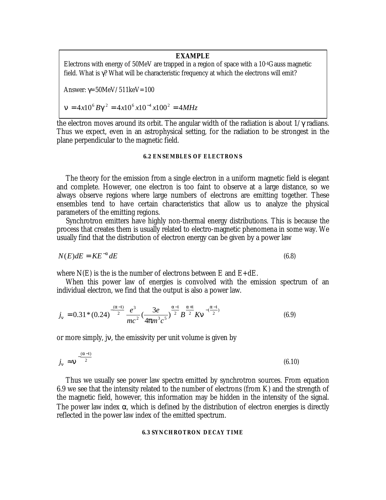# **EXAMPLE**

Electrons with energy of 50MeV are trapped in a region of space with a 10-4Gauss magnetic field. What is γ? What will be characteristic frequency at which the electrons will emit?

Answer:  $\gamma = 50MeV/511keV = 100$ 

 $\mathbf{a} = 4x10^6 B\mathbf{g}^2 = 4x10^6 x10^{-4} x100^2 = 4MHz$ 

the electron moves around its orbit. The angular width of the radiation is about  $1/\gamma$  radians. Thus we expect, even in an astrophysical setting, for the radiation to be strongest in the plane perpendicular to the magnetic field.

# **6.2 ENSEMBLES OF ELECTRONS**

The theory for the emission from a single electron in a uniform magnetic field is elegant and complete. However, one electron is too faint to observe at a large distance, so we always observe regions where large numbers of electrons are emitting together. These ensembles tend to have certain characteristics that allow us to analyze the physical parameters of the emitting regions.

Synchrotron emitters have highly non-thermal energy distributions. This is because the process that creates them is usually related to electro-magnetic phenomena in some way. We usually find that the distribution of electron energy can be given by a power law

$$
N(E)dE = KE^{-a}dE
$$
\n(6.8)

where  $N(E)$  is the is the number of electrons between E and  $E+dE$ .

When this power law of energies is convolved with the emission spectrum of an individual electron, we find that the output is also a power law.

$$
j_n = 0.31 * (0.24)^{-\frac{(a-1)}{2}} \frac{e^3}{mc^2} \left(\frac{3e}{4pm^3c^5}\right)^{\frac{a-1}{2}} B^{\frac{a+1}{2}} K n^{-\frac{(a-1)}{2}}
$$
(6.9)

or more simply, jν, the emissivity per unit volume is given by

$$
j_n \approx n^{-\frac{(a-1)}{2}} \tag{6.10}
$$

Thus we usually see power law spectra emitted by synchrotron sources. From equation 6.9 we see that the intensity related to the number of electrons (from K) and the strength of the magnetic field, however, this information may be hidden in the intensity of the signal. The power law index  $\alpha$ , which is defined by the distribution of electron energies is directly reflected in the power law index of the emitted spectrum.

## **6.3 SYNCHROTRON DECAY TIME**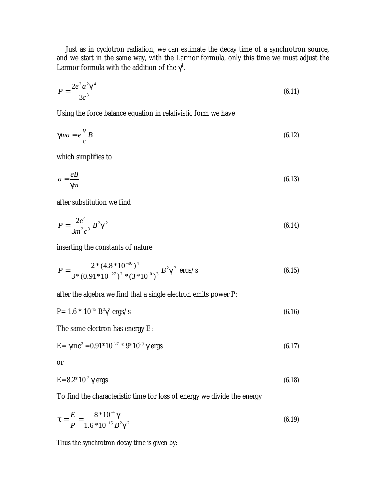Just as in cyclotron radiation, we can estimate the decay time of a synchrotron source, and we start in the same way, with the Larmor formula, only this time we must adjust the Larmor formula with the addition of the  $\gamma^4$ .

$$
P = \frac{2e^2a^2g^4}{3c^3} \tag{6.11}
$$

Using the force balance equation in relativistic form we have

$$
g_{m} = e - \frac{v}{c} B \tag{6.12}
$$

which simplifies to

$$
a = \frac{e}{\mathbf{g}n} \tag{6.13}
$$

after substitution we find

$$
P = \frac{2e^4}{3m^2c^3} B^2 g^2
$$
 (6.14)

inserting the constants of nature

$$
P = \frac{2 * (4.8 * 10^{-10})^4}{3 * (0.91 * 10^{-27})^2 * (3 * 10^{10})^3} B^2 \mathbf{g}^2 \text{ ergs/s}
$$
(6.15)

after the algebra we find that a single electron emits power P:

$$
P = 1.6 * 10^{-15} B^2 \gamma^2 \text{ ergs/s}
$$
 (6.16)

The same electron has energy E:

$$
E = \gamma mc^2 = 0.91^* 10^{-27} * 9^* 10^{20} \gamma \text{ ergs}
$$
 (6.17)

or

$$
E=8.2*10-7 \gamma \text{ ergs}
$$
 (6.18)

To find the characteristic time for loss of energy we divide the energy

$$
t = \frac{E}{P} = \frac{8 * 10^{-7} g}{1.6 * 10^{-15} B^2 g^2}
$$
 (6.19)

Thus the synchrotron decay time is given by: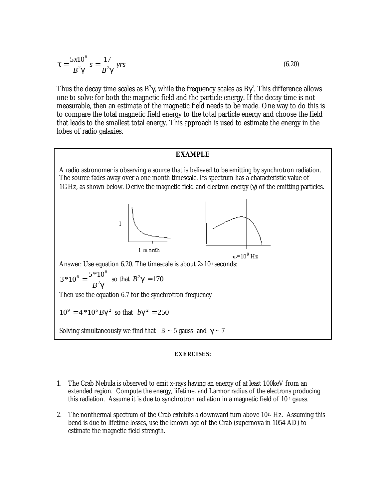$$
t = \frac{5x10^8}{B^2 g} s = \frac{17}{B^2 g} yrs
$$
 (6.20)

Thus the decay time scales as  $\rm B^2 \gamma$ , while the frequency scales as  $\rm B \gamma^2$ . This difference allows one to solve for both the magnetic field and the particle energy. If the decay time is not measurable, then an estimate of the magnetic field needs to be made. One way to do this is to compare the total magnetic field energy to the total particle energy and choose the field that leads to the smallest total energy. This approach is used to estimate the energy in the lobes of radio galaxies.

## **EXAMPLE**

A radio astronomer is observing a source that is believed to be emitting by synchrotron radiation. The source fades away over a one month timescale. Its spectrum has a characteristic value of 1GHz, as shown below. Derive the magnetic field and electron energy (γ) of the emitting particles.



Answer: Use equation 6.20. The timescale is about  $2x10^6$  seconds:

$$
3*10^6 = \frac{5*10^8}{B^2g}
$$
 so that  $B^2g = 170$ 

Then use the equation 6.7 for the synchrotron frequency

 $10^9 = 4 * 10^6 Bg^2$  so that  $bg^2 = 250$ 

Solving simultaneously we find that  $B \sim 5$  gauss and  $\gamma \sim 7$ 

#### **EXERCISES:**

- 1. The Crab Nebula is observed to emit x-rays having an energy of at least 100keV from an extended region. Compute the energy, lifetime, and Larmor radius of the electrons producing this radiation. Assume it is due to synchrotron radiation in a magnetic field of 10-4 gauss.
- 2. The nonthermal spectrum of the Crab exhibits a downward turn above 1015 Hz. Assuming this bend is due to lifetime losses, use the known age of the Crab (supernova in 1054 AD) to estimate the magnetic field strength.